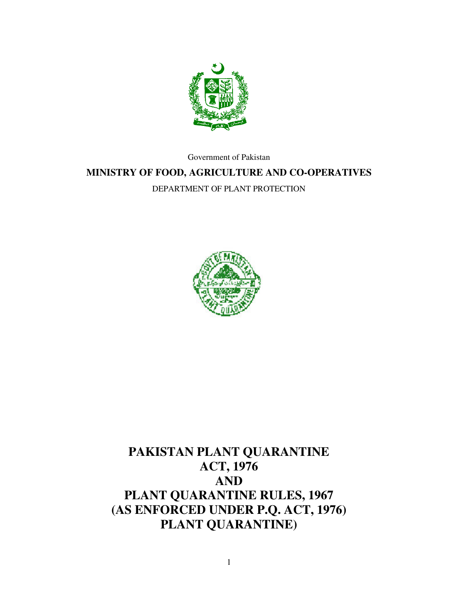

Government of Pakistan

### **MINISTRY OF FOOD, AGRICULTURE AND CO-OPERATIVES**

DEPARTMENT OF PLANT PROTECTION



# **PAKISTAN PLANT QUARANTINE ACT, 1976 AND PLANT QUARANTINE RULES, 1967 (AS ENFORCED UNDER P.Q. ACT, 1976) PLANT QUARANTINE)**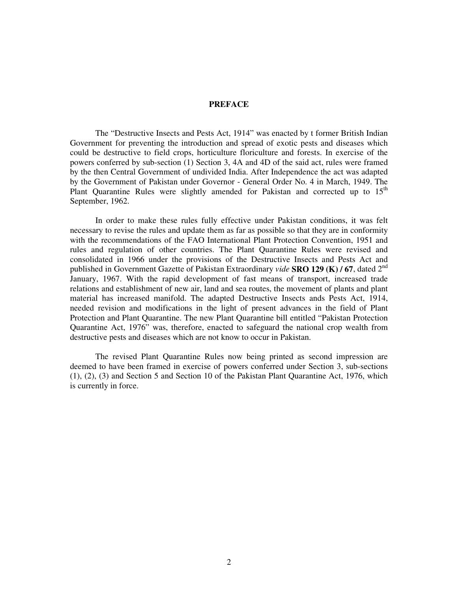#### **PREFACE**

The "Destructive Insects and Pests Act, 1914" was enacted by t former British Indian Government for preventing the introduction and spread of exotic pests and diseases which could be destructive to field crops, horticulture floriculture and forests. In exercise of the powers conferred by sub-section (1) Section 3, 4A and 4D of the said act, rules were framed by the then Central Government of undivided India. After Independence the act was adapted by the Government of Pakistan under Governor - General Order No. 4 in March, 1949. The Plant Quarantine Rules were slightly amended for Pakistan and corrected up to 15<sup>th</sup> September, 1962.

In order to make these rules fully effective under Pakistan conditions, it was felt necessary to revise the rules and update them as far as possible so that they are in conformity with the recommendations of the FAO International Plant Protection Convention, 1951 and rules and regulation of other countries. The Plant Quarantine Rules were revised and consolidated in 1966 under the provisions of the Destructive Insects and Pests Act and published in Government Gazette of Pakistan Extraordinary *vide* **SRO 129 (K) / 67**, dated 2 nd January, 1967. With the rapid development of fast means of transport, increased trade relations and establishment of new air, land and sea routes, the movement of plants and plant material has increased manifold. The adapted Destructive Insects ands Pests Act, 1914, needed revision and modifications in the light of present advances in the field of Plant Protection and Plant Quarantine. The new Plant Quarantine bill entitled "Pakistan Protection Quarantine Act, 1976" was, therefore, enacted to safeguard the national crop wealth from destructive pests and diseases which are not know to occur in Pakistan.

The revised Plant Quarantine Rules now being printed as second impression are deemed to have been framed in exercise of powers conferred under Section 3, sub-sections (1), (2), (3) and Section 5 and Section 10 of the Pakistan Plant Quarantine Act, 1976, which is currently in force.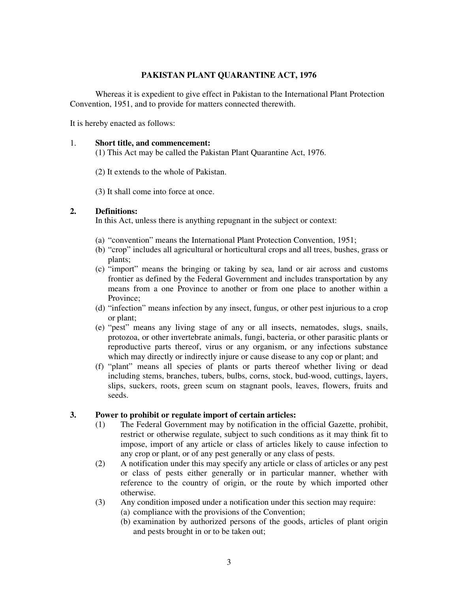#### **PAKISTAN PLANT QUARANTINE ACT, 1976**

Whereas it is expedient to give effect in Pakistan to the International Plant Protection Convention, 1951, and to provide for matters connected therewith.

It is hereby enacted as follows:

#### 1. **Short title, and commencement:**

(1) This Act may be called the Pakistan Plant Quarantine Act, 1976.

- (2) It extends to the whole of Pakistan.
- (3) It shall come into force at once.

#### **2. Definitions:**

In this Act, unless there is anything repugnant in the subject or context:

- (a) "convention" means the International Plant Protection Convention, 1951;
- (b) "crop" includes all agricultural or horticultural crops and all trees, bushes, grass or plants;
- (c) "import" means the bringing or taking by sea, land or air across and customs frontier as defined by the Federal Government and includes transportation by any means from a one Province to another or from one place to another within a Province;
- (d) "infection" means infection by any insect, fungus, or other pest injurious to a crop or plant;
- (e) "pest" means any living stage of any or all insects, nematodes, slugs, snails, protozoa, or other invertebrate animals, fungi, bacteria, or other parasitic plants or reproductive parts thereof, virus or any organism, or any infections substance which may directly or indirectly injure or cause disease to any cop or plant; and
- (f) "plant" means all species of plants or parts thereof whether living or dead including stems, branches, tubers, bulbs, corns, stock, bud-wood, cuttings, layers, slips, suckers, roots, green scum on stagnant pools, leaves, flowers, fruits and seeds.

#### **3. Power to prohibit or regulate import of certain articles:**

- (1) The Federal Government may by notification in the official Gazette, prohibit, restrict or otherwise regulate, subject to such conditions as it may think fit to impose, import of any article or class of articles likely to cause infection to any crop or plant, or of any pest generally or any class of pests.
- (2) A notification under this may specify any article or class of articles or any pest or class of pests either generally or in particular manner, whether with reference to the country of origin, or the route by which imported other otherwise.
- (3) Any condition imposed under a notification under this section may require:
	- (a) compliance with the provisions of the Convention;
	- (b) examination by authorized persons of the goods, articles of plant origin and pests brought in or to be taken out;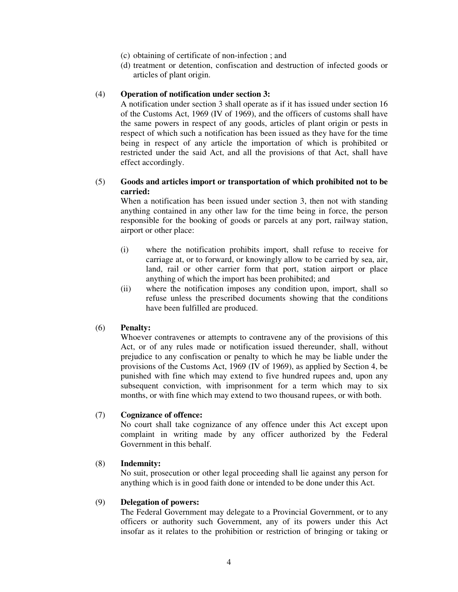- (c) obtaining of certificate of non-infection ; and
- (d) treatment or detention, confiscation and destruction of infected goods or articles of plant origin.

#### (4) **Operation of notification under section 3:**

A notification under section 3 shall operate as if it has issued under section 16 of the Customs Act, 1969 (IV of 1969), and the officers of customs shall have the same powers in respect of any goods, articles of plant origin or pests in respect of which such a notification has been issued as they have for the time being in respect of any article the importation of which is prohibited or restricted under the said Act, and all the provisions of that Act, shall have effect accordingly.

#### (5) **Goods and articles import or transportation of which prohibited not to be carried:**

When a notification has been issued under section 3, then not with standing anything contained in any other law for the time being in force, the person responsible for the booking of goods or parcels at any port, railway station, airport or other place:

- (i) where the notification prohibits import, shall refuse to receive for carriage at, or to forward, or knowingly allow to be carried by sea, air, land, rail or other carrier form that port, station airport or place anything of which the import has been prohibited; and
- (ii) where the notification imposes any condition upon, import, shall so refuse unless the prescribed documents showing that the conditions have been fulfilled are produced.

#### (6) **Penalty:**

Whoever contravenes or attempts to contravene any of the provisions of this Act, or of any rules made or notification issued thereunder, shall, without prejudice to any confiscation or penalty to which he may be liable under the provisions of the Customs Act, 1969 (IV of 1969), as applied by Section 4, be punished with fine which may extend to five hundred rupees and, upon any subsequent conviction, with imprisonment for a term which may to six months, or with fine which may extend to two thousand rupees, or with both.

#### (7) **Cognizance of offence:**

No court shall take cognizance of any offence under this Act except upon complaint in writing made by any officer authorized by the Federal Government in this behalf.

#### (8) **Indemnity:**

No suit, prosecution or other legal proceeding shall lie against any person for anything which is in good faith done or intended to be done under this Act.

#### (9) **Delegation of powers:**

The Federal Government may delegate to a Provincial Government, or to any officers or authority such Government, any of its powers under this Act insofar as it relates to the prohibition or restriction of bringing or taking or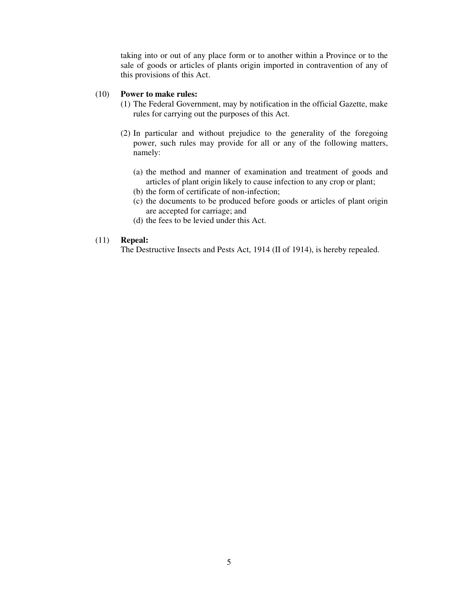taking into or out of any place form or to another within a Province or to the sale of goods or articles of plants origin imported in contravention of any of this provisions of this Act.

#### (10) **Power to make rules:**

- (1) The Federal Government, may by notification in the official Gazette, make rules for carrying out the purposes of this Act.
- (2) In particular and without prejudice to the generality of the foregoing power, such rules may provide for all or any of the following matters, namely:
	- (a) the method and manner of examination and treatment of goods and articles of plant origin likely to cause infection to any crop or plant;
	- (b) the form of certificate of non-infection;
	- (c) the documents to be produced before goods or articles of plant origin are accepted for carriage; and
	- (d) the fees to be levied under this Act.

#### (11) **Repeal:**

The Destructive Insects and Pests Act, 1914 (II of 1914), is hereby repealed.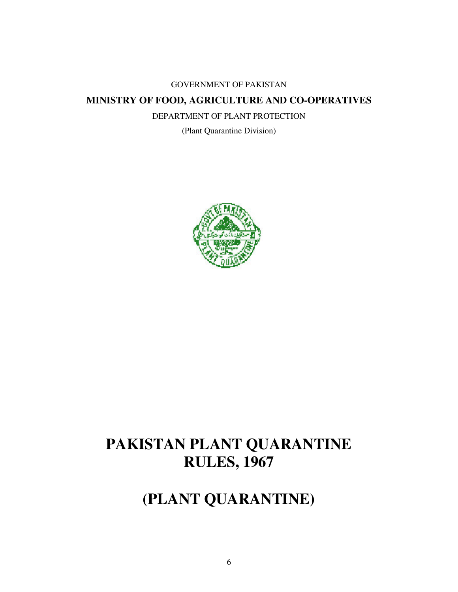#### GOVERNMENT OF PAKISTAN

### **MINISTRY OF FOOD, AGRICULTURE AND CO-OPERATIVES**

DEPARTMENT OF PLANT PROTECTION

(Plant Quarantine Division)



# **PAKISTAN PLANT QUARANTINE RULES, 1967**

# **(PLANT QUARANTINE)**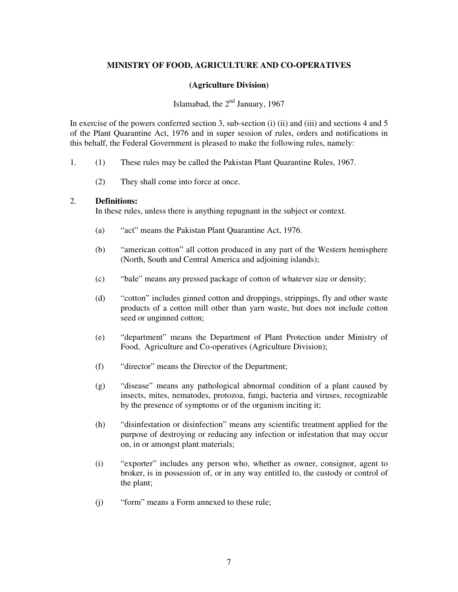#### **MINISTRY OF FOOD, AGRICULTURE AND CO-OPERATIVES**

#### **(Agriculture Division)**

#### Islamabad, the 2<sup>nd</sup> January, 1967

In exercise of the powers conferred section 3, sub-section (i) (ii) and (iii) and sections 4 and 5 of the Plant Quarantine Act, 1976 and in super session of rules, orders and notifications in this behalf, the Federal Government is pleased to make the following rules, namely:

- 1. (1) These rules may be called the Pakistan Plant Quarantine Rules, 1967.
	- (2) They shall come into force at once.

#### 2. **Definitions:**

In these rules, unless there is anything repugnant in the subject or context.

- (a) "act" means the Pakistan Plant Quarantine Act, 1976.
- (b) "american cotton" all cotton produced in any part of the Western hemisphere (North, South and Central America and adjoining islands);
- (c) "bale" means any pressed package of cotton of whatever size or density;
- (d) "cotton" includes ginned cotton and droppings, strippings, fly and other waste products of a cotton mill other than yarn waste, but does not include cotton seed or unginned cotton;
- (e) "department" means the Department of Plant Protection under Ministry of Food, Agriculture and Co-operatives (Agriculture Division);
- (f) "director" means the Director of the Department;
- (g) "disease" means any pathological abnormal condition of a plant caused by insects, mites, nematodes, protozoa, fungi, bacteria and viruses, recognizable by the presence of symptoms or of the organism inciting it;
- (h) "disinfestation or disinfection" means any scientific treatment applied for the purpose of destroying or reducing any infection or infestation that may occur on, in or amongst plant materials;
- (i) "exporter" includes any person who, whether as owner, consignor, agent to broker, is in possession of, or in any way entitled to, the custody or control of the plant;
- (j) "form" means a Form annexed to these rule;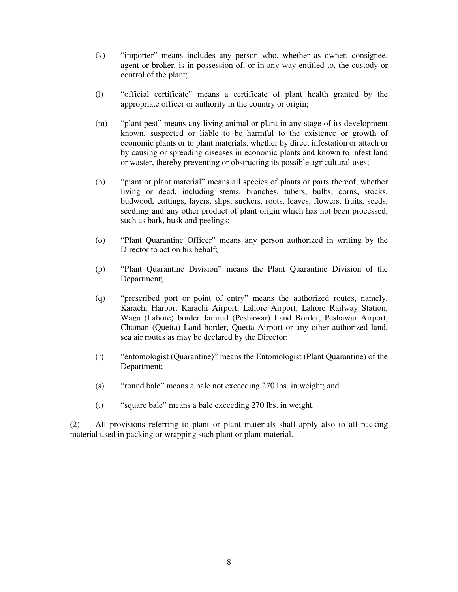- (k) "importer" means includes any person who, whether as owner, consignee, agent or broker, is in possession of, or in any way entitled to, the custody or control of the plant;
- (l) "official certificate" means a certificate of plant health granted by the appropriate officer or authority in the country or origin;
- (m) "plant pest" means any living animal or plant in any stage of its development known, suspected or liable to be harmful to the existence or growth of economic plants or to plant materials, whether by direct infestation or attach or by causing or spreading diseases in economic plants and known to infest land or waster, thereby preventing or obstructing its possible agricultural uses;
- (n) "plant or plant material" means all species of plants or parts thereof, whether living or dead, including stems, branches, tubers, bulbs, corns, stocks, budwood, cuttings, layers, slips, suckers, roots, leaves, flowers, fruits, seeds, seedling and any other product of plant origin which has not been processed, such as bark, husk and peelings;
- (o) "Plant Quarantine Officer" means any person authorized in writing by the Director to act on his behalf;
- (p) "Plant Quarantine Division" means the Plant Quarantine Division of the Department;
- (q) "prescribed port or point of entry" means the authorized routes, namely, Karachi Harbor, Karachi Airport, Lahore Airport, Lahore Railway Station, Waga (Lahore) border Jamrud (Peshawar) Land Border, Peshawar Airport, Chaman (Quetta) Land border, Quetta Airport or any other authorized land, sea air routes as may be declared by the Director;
- (r) "entomologist (Quarantine)" means the Entomologist (Plant Quarantine) of the Department;
- (s) "round bale" means a bale not exceeding 270 lbs. in weight; and
- (t) "square bale" means a bale exceeding 270 lbs. in weight.

(2) All provisions referring to plant or plant materials shall apply also to all packing material used in packing or wrapping such plant or plant material.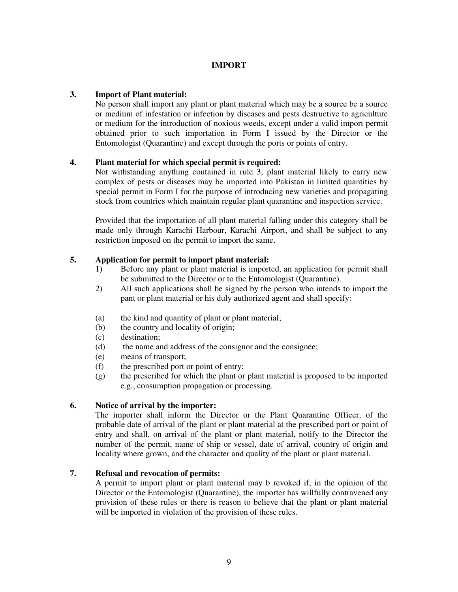#### **IMPORT**

#### **3. Import of Plant material:**

No person shall import any plant or plant material which may be a source be a source or medium of infestation or infection by diseases and pests destructive to agriculture or medium for the introduction of noxious weeds, except under a valid import permit obtained prior to such importation in Form I issued by the Director or the Entomologist (Quarantine) and except through the ports or points of entry.

#### **4. Plant material for which special permit is required:**

Not withstanding anything contained in rule 3, plant material likely to carry new complex of pests or diseases may be imported into Pakistan in limited quantities by special permit in Form I for the purpose of introducing new varieties and propagating stock from countries which maintain regular plant quarantine and inspection service.

Provided that the importation of all plant material falling under this category shall be made only through Karachi Harbour, Karachi Airport, and shall be subject to any restriction imposed on the permit to import the same.

#### **5. Application for permit to import plant material:**

- 1) Before any plant or plant material is imported, an application for permit shall be submitted to the Director or to the Entomologist (Quarantine).
- 2) All such applications shall be signed by the person who intends to import the pant or plant material or his duly authorized agent and shall specify:
- (a) the kind and quantity of plant or plant material;
- (b) the country and locality of origin;
- (c) destination;
- (d) the name and address of the consignor and the consignee;
- (e) means of transport;
- (f) the prescribed port or point of entry;
- (g) the prescribed for which the plant or plant material is proposed to be imported e.g., consumption propagation or processing.

#### **6. Notice of arrival by the importer:**

The importer shall inform the Director or the Plant Quarantine Officer, of the probable date of arrival of the plant or plant material at the prescribed port or point of entry and shall, on arrival of the plant or plant material, notify to the Director the number of the permit, name of ship or vessel, date of arrival, country of origin and locality where grown, and the character and quality of the plant or plant material.

#### **7. Refusal and revocation of permits:**

A permit to import plant or plant material may b revoked if, in the opinion of the Director or the Entomologist (Quarantine), the importer has willfully contravened any provision of these rules or there is reason to believe that the plant or plant material will be imported in violation of the provision of these rules.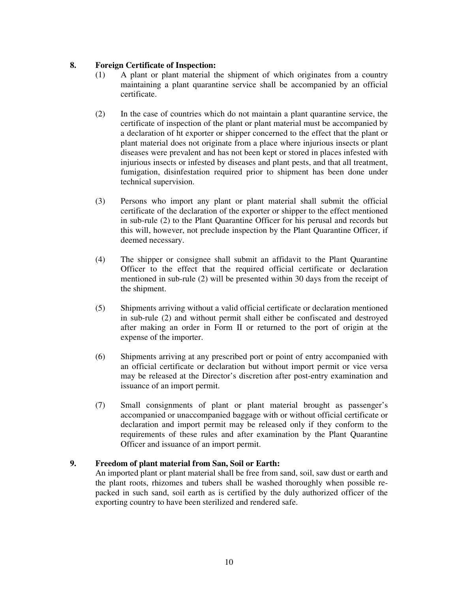#### **8. Foreign Certificate of Inspection:**

- (1) A plant or plant material the shipment of which originates from a country maintaining a plant quarantine service shall be accompanied by an official certificate.
- (2) In the case of countries which do not maintain a plant quarantine service, the certificate of inspection of the plant or plant material must be accompanied by a declaration of ht exporter or shipper concerned to the effect that the plant or plant material does not originate from a place where injurious insects or plant diseases were prevalent and has not been kept or stored in places infested with injurious insects or infested by diseases and plant pests, and that all treatment, fumigation, disinfestation required prior to shipment has been done under technical supervision.
- (3) Persons who import any plant or plant material shall submit the official certificate of the declaration of the exporter or shipper to the effect mentioned in sub-rule (2) to the Plant Quarantine Officer for his perusal and records but this will, however, not preclude inspection by the Plant Quarantine Officer, if deemed necessary.
- (4) The shipper or consignee shall submit an affidavit to the Plant Quarantine Officer to the effect that the required official certificate or declaration mentioned in sub-rule (2) will be presented within 30 days from the receipt of the shipment.
- (5) Shipments arriving without a valid official certificate or declaration mentioned in sub-rule (2) and without permit shall either be confiscated and destroyed after making an order in Form II or returned to the port of origin at the expense of the importer.
- (6) Shipments arriving at any prescribed port or point of entry accompanied with an official certificate or declaration but without import permit or vice versa may be released at the Director's discretion after post-entry examination and issuance of an import permit.
- (7) Small consignments of plant or plant material brought as passenger's accompanied or unaccompanied baggage with or without official certificate or declaration and import permit may be released only if they conform to the requirements of these rules and after examination by the Plant Quarantine Officer and issuance of an import permit.

#### **9. Freedom of plant material from San, Soil or Earth:**

An imported plant or plant material shall be free from sand, soil, saw dust or earth and the plant roots, rhizomes and tubers shall be washed thoroughly when possible repacked in such sand, soil earth as is certified by the duly authorized officer of the exporting country to have been sterilized and rendered safe.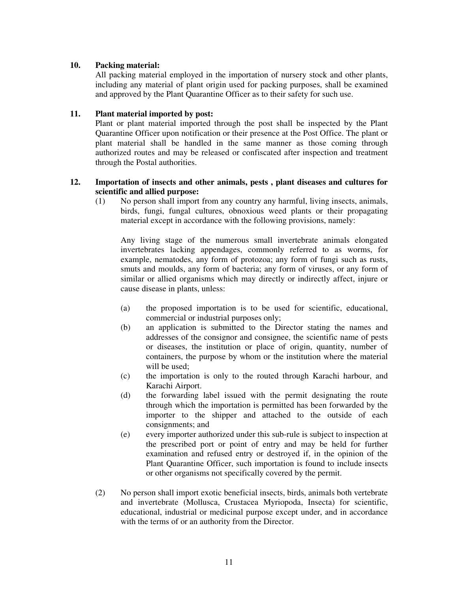#### **10. Packing material:**

All packing material employed in the importation of nursery stock and other plants, including any material of plant origin used for packing purposes, shall be examined and approved by the Plant Quarantine Officer as to their safety for such use.

#### **11. Plant material imported by post:**

Plant or plant material imported through the post shall be inspected by the Plant Quarantine Officer upon notification or their presence at the Post Office. The plant or plant material shall be handled in the same manner as those coming through authorized routes and may be released or confiscated after inspection and treatment through the Postal authorities.

#### **12. Importation of insects and other animals, pests , plant diseases and cultures for scientific and allied purpose:**

(1) No person shall import from any country any harmful, living insects, animals, birds, fungi, fungal cultures, obnoxious weed plants or their propagating material except in accordance with the following provisions, namely:

Any living stage of the numerous small invertebrate animals elongated invertebrates lacking appendages, commonly referred to as worms, for example, nematodes, any form of protozoa; any form of fungi such as rusts, smuts and moulds, any form of bacteria; any form of viruses, or any form of similar or allied organisms which may directly or indirectly affect, injure or cause disease in plants, unless:

- (a) the proposed importation is to be used for scientific, educational, commercial or industrial purposes only;
- (b) an application is submitted to the Director stating the names and addresses of the consignor and consignee, the scientific name of pests or diseases, the institution or place of origin, quantity, number of containers, the purpose by whom or the institution where the material will be used;
- (c) the importation is only to the routed through Karachi harbour, and Karachi Airport.
- (d) the forwarding label issued with the permit designating the route through which the importation is permitted has been forwarded by the importer to the shipper and attached to the outside of each consignments; and
- (e) every importer authorized under this sub-rule is subject to inspection at the prescribed port or point of entry and may be held for further examination and refused entry or destroyed if, in the opinion of the Plant Quarantine Officer, such importation is found to include insects or other organisms not specifically covered by the permit.
- (2) No person shall import exotic beneficial insects, birds, animals both vertebrate and invertebrate (Mollusca, Crustacea Myriopoda, Insecta) for scientific, educational, industrial or medicinal purpose except under, and in accordance with the terms of or an authority from the Director.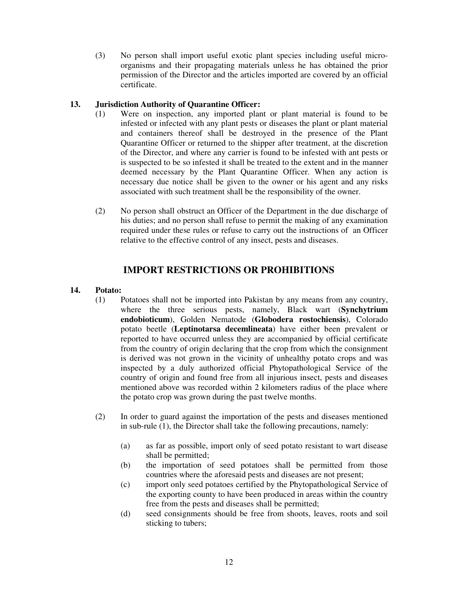(3) No person shall import useful exotic plant species including useful microorganisms and their propagating materials unless he has obtained the prior permission of the Director and the articles imported are covered by an official certificate.

#### **13. Jurisdiction Authority of Quarantine Officer:**

- (1) Were on inspection, any imported plant or plant material is found to be infested or infected with any plant pests or diseases the plant or plant material and containers thereof shall be destroyed in the presence of the Plant Quarantine Officer or returned to the shipper after treatment, at the discretion of the Director, and where any carrier is found to be infested with ant pests or is suspected to be so infested it shall be treated to the extent and in the manner deemed necessary by the Plant Quarantine Officer. When any action is necessary due notice shall be given to the owner or his agent and any risks associated with such treatment shall be the responsibility of the owner.
- (2) No person shall obstruct an Officer of the Department in the due discharge of his duties; and no person shall refuse to permit the making of any examination required under these rules or refuse to carry out the instructions of an Officer relative to the effective control of any insect, pests and diseases.

### **IMPORT RESTRICTIONS OR PROHIBITIONS**

#### **14. Potato:**

- (1) Potatoes shall not be imported into Pakistan by any means from any country, where the three serious pests, namely, Black wart (**Synchytrium endobioticum**), Golden Nematode (**Globodera rostochiensis**), Colorado potato beetle (**Leptinotarsa decemlineata**) have either been prevalent or reported to have occurred unless they are accompanied by official certificate from the country of origin declaring that the crop from which the consignment is derived was not grown in the vicinity of unhealthy potato crops and was inspected by a duly authorized official Phytopathological Service of the country of origin and found free from all injurious insect, pests and diseases mentioned above was recorded within 2 kilometers radius of the place where the potato crop was grown during the past twelve months.
- (2) In order to guard against the importation of the pests and diseases mentioned in sub-rule (1), the Director shall take the following precautions, namely:
	- (a) as far as possible, import only of seed potato resistant to wart disease shall be permitted;
	- (b) the importation of seed potatoes shall be permitted from those countries where the aforesaid pests and diseases are not present;
	- (c) import only seed potatoes certified by the Phytopathological Service of the exporting county to have been produced in areas within the country free from the pests and diseases shall be permitted;
	- (d) seed consignments should be free from shoots, leaves, roots and soil sticking to tubers;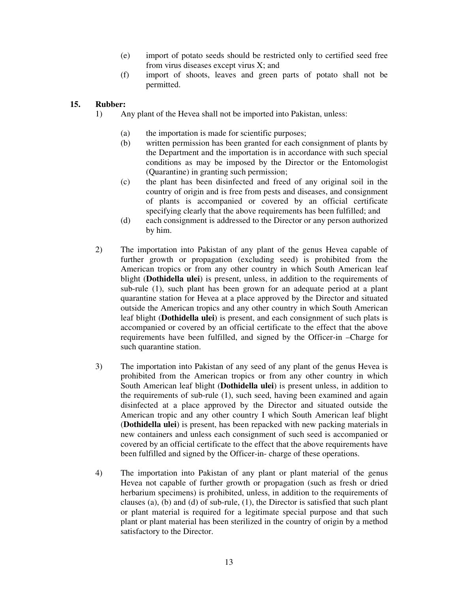- (e) import of potato seeds should be restricted only to certified seed free from virus diseases except virus X; and
- (f) import of shoots, leaves and green parts of potato shall not be permitted.

#### **15. Rubber:**

- 1) Any plant of the Hevea shall not be imported into Pakistan, unless:
	- (a) the importation is made for scientific purposes;
	- (b) written permission has been granted for each consignment of plants by the Department and the importation is in accordance with such special conditions as may be imposed by the Director or the Entomologist (Quarantine) in granting such permission;
	- (c) the plant has been disinfected and freed of any original soil in the country of origin and is free from pests and diseases, and consignment of plants is accompanied or covered by an official certificate specifying clearly that the above requirements has been fulfilled; and
	- (d) each consignment is addressed to the Director or any person authorized by him.
- 2) The importation into Pakistan of any plant of the genus Hevea capable of further growth or propagation (excluding seed) is prohibited from the American tropics or from any other country in which South American leaf blight (**Dothidella ulei**) is present, unless, in addition to the requirements of sub-rule (1), such plant has been grown for an adequate period at a plant quarantine station for Hevea at a place approved by the Director and situated outside the American tropics and any other country in which South American leaf blight (**Dothidella ulei**) is present, and each consignment of such plats is accompanied or covered by an official certificate to the effect that the above requirements have been fulfilled, and signed by the Officer-in –Charge for such quarantine station.
- 3) The importation into Pakistan of any seed of any plant of the genus Hevea is prohibited from the American tropics or from any other country in which South American leaf blight (**Dothidella ulei**) is present unless, in addition to the requirements of sub-rule (1), such seed, having been examined and again disinfected at a place approved by the Director and situated outside the American tropic and any other country I which South American leaf blight (**Dothidella ulei**) is present, has been repacked with new packing materials in new containers and unless each consignment of such seed is accompanied or covered by an official certificate to the effect that the above requirements have been fulfilled and signed by the Officer-in- charge of these operations.
- 4) The importation into Pakistan of any plant or plant material of the genus Hevea not capable of further growth or propagation (such as fresh or dried herbarium specimens) is prohibited, unless, in addition to the requirements of clauses (a), (b) and (d) of sub-rule, (1), the Director is satisfied that such plant or plant material is required for a legitimate special purpose and that such plant or plant material has been sterilized in the country of origin by a method satisfactory to the Director.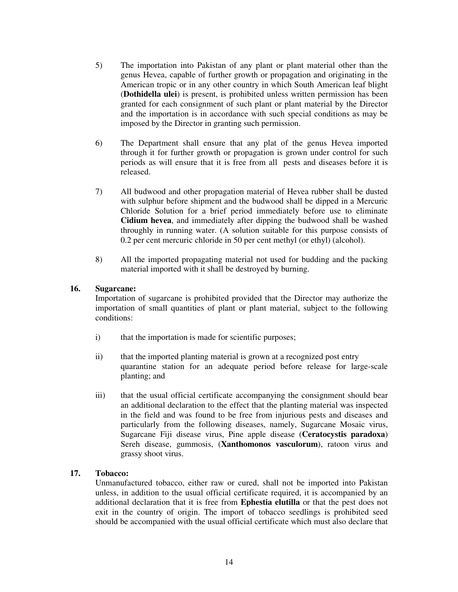- 5) The importation into Pakistan of any plant or plant material other than the genus Hevea, capable of further growth or propagation and originating in the American tropic or in any other country in which South American leaf blight (**Dothidella ulei**) is present, is prohibited unless written permission has been granted for each consignment of such plant or plant material by the Director and the importation is in accordance with such special conditions as may be imposed by the Director in granting such permission.
- 6) The Department shall ensure that any plat of the genus Hevea imported through it for further growth or propagation is grown under control for such periods as will ensure that it is free from all pests and diseases before it is released.
- 7) All budwood and other propagation material of Hevea rubber shall be dusted with sulphur before shipment and the budwood shall be dipped in a Mercuric Chloride Solution for a brief period immediately before use to eliminate **Cidium hevea**, and immediately after dipping the budwood shall be washed throughly in running water. (A solution suitable for this purpose consists of 0.2 per cent mercuric chloride in 50 per cent methyl (or ethyl) (alcohol).
- 8) All the imported propagating material not used for budding and the packing material imported with it shall be destroyed by burning.

#### **16. Sugarcane:**

Importation of sugarcane is prohibited provided that the Director may authorize the importation of small quantities of plant or plant material, subject to the following conditions:

- i) that the importation is made for scientific purposes;
- ii) that the imported planting material is grown at a recognized post entry quarantine station for an adequate period before release for large-scale planting; and
- iii) that the usual official certificate accompanying the consignment should bear an additional declaration to the effect that the planting material was inspected in the field and was found to be free from injurious pests and diseases and particularly from the following diseases, namely, Sugarcane Mosaic virus, Sugarcane Fiji disease virus, Pine apple disease (**Ceratocystis paradoxa**) Sereh disease, gummosis, (**Xanthomonos vasculorum**), ratoon virus and grassy shoot virus.

#### **17. Tobacco:**

Unmanufactured tobacco, either raw or cured, shall not be imported into Pakistan unless, in addition to the usual official certificate required, it is accompanied by an additional declaration that it is free from **Ephestia elutilla** or that the pest does not exit in the country of origin. The import of tobacco seedlings is prohibited seed should be accompanied with the usual official certificate which must also declare that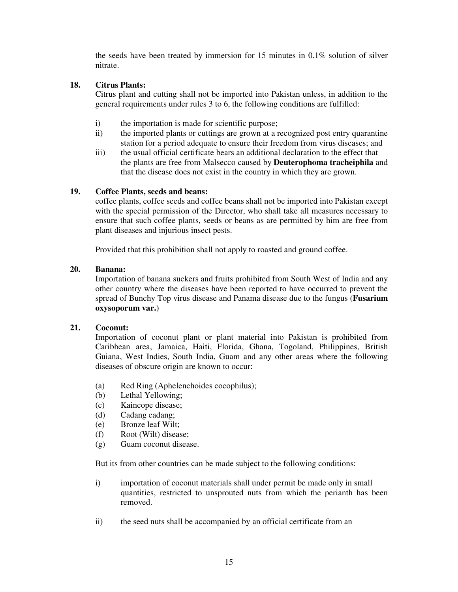the seeds have been treated by immersion for 15 minutes in 0.1% solution of silver nitrate.

#### **18. Citrus Plants:**

Citrus plant and cutting shall not be imported into Pakistan unless, in addition to the general requirements under rules 3 to 6, the following conditions are fulfilled:

- i) the importation is made for scientific purpose;
- ii) the imported plants or cuttings are grown at a recognized post entry quarantine station for a period adequate to ensure their freedom from virus diseases; and
- iii) the usual official certificate bears an additional declaration to the effect that the plants are free from Malsecco caused by **Deuterophoma tracheiphila** and that the disease does not exist in the country in which they are grown.

#### **19. Coffee Plants, seeds and beans:**

coffee plants, coffee seeds and coffee beans shall not be imported into Pakistan except with the special permission of the Director, who shall take all measures necessary to ensure that such coffee plants, seeds or beans as are permitted by him are free from plant diseases and injurious insect pests.

Provided that this prohibition shall not apply to roasted and ground coffee.

#### **20. Banana:**

Importation of banana suckers and fruits prohibited from South West of India and any other country where the diseases have been reported to have occurred to prevent the spread of Bunchy Top virus disease and Panama disease due to the fungus (**Fusarium oxysoporum var.**)

#### **21. Coconut:**

Importation of coconut plant or plant material into Pakistan is prohibited from Caribbean area, Jamaica, Haiti, Florida, Ghana, Togoland, Philippines, British Guiana, West Indies, South India, Guam and any other areas where the following diseases of obscure origin are known to occur:

- (a) Red Ring (Aphelenchoides cocophilus);
- (b) Lethal Yellowing;
- (c) Kaincope disease;
- (d) Cadang cadang;
- (e) Bronze leaf Wilt;
- (f) Root (Wilt) disease;
- (g) Guam coconut disease.

But its from other countries can be made subject to the following conditions:

- i) importation of coconut materials shall under permit be made only in small quantities, restricted to unsprouted nuts from which the perianth has been removed.
- ii) the seed nuts shall be accompanied by an official certificate from an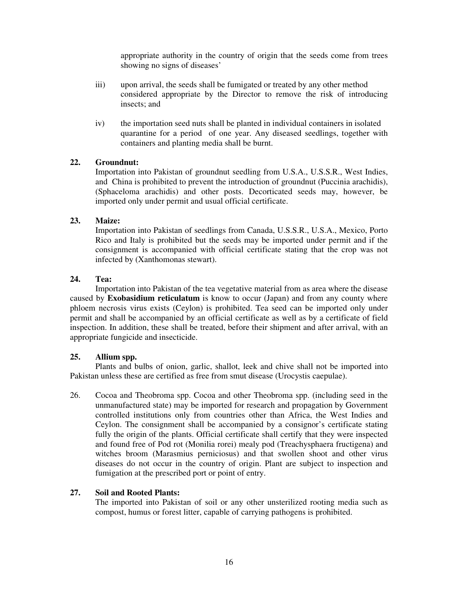appropriate authority in the country of origin that the seeds come from trees showing no signs of diseases'

- iii) upon arrival, the seeds shall be fumigated or treated by any other method considered appropriate by the Director to remove the risk of introducing insects; and
- iv) the importation seed nuts shall be planted in individual containers in isolated quarantine for a period of one year. Any diseased seedlings, together with containers and planting media shall be burnt.

#### **22. Groundnut:**

Importation into Pakistan of groundnut seedling from U.S.A., U.S.S.R., West Indies, and China is prohibited to prevent the introduction of groundnut (Puccinia arachidis), (Sphaceloma arachidis) and other posts. Decorticated seeds may, however, be imported only under permit and usual official certificate.

#### **23. Maize:**

Importation into Pakistan of seedlings from Canada, U.S.S.R., U.S.A., Mexico, Porto Rico and Italy is prohibited but the seeds may be imported under permit and if the consignment is accompanied with official certificate stating that the crop was not infected by (Xanthomonas stewart).

#### **24. Tea:**

Importation into Pakistan of the tea vegetative material from as area where the disease caused by **Exobasidium reticulatum** is know to occur (Japan) and from any county where phloem necrosis virus exists (Ceylon) is prohibited. Tea seed can be imported only under permit and shall be accompanied by an official certificate as well as by a certificate of field inspection. In addition, these shall be treated, before their shipment and after arrival, with an appropriate fungicide and insecticide.

#### **25. Allium spp.**

Plants and bulbs of onion, garlic, shallot, leek and chive shall not be imported into Pakistan unless these are certified as free from smut disease (Urocystis caepulae).

26. Cocoa and Theobroma spp. Cocoa and other Theobroma spp. (including seed in the unmanufactured state) may be imported for research and propagation by Government controlled institutions only from countries other than Africa, the West Indies and Ceylon. The consignment shall be accompanied by a consignor's certificate stating fully the origin of the plants. Official certificate shall certify that they were inspected and found free of Pod rot (Monilia rorei) mealy pod (Treachysphaera fructigena) and witches broom (Marasmius perniciosus) and that swollen shoot and other virus diseases do not occur in the country of origin. Plant are subject to inspection and fumigation at the prescribed port or point of entry.

#### **27. Soil and Rooted Plants:**

The imported into Pakistan of soil or any other unsterilized rooting media such as compost, humus or forest litter, capable of carrying pathogens is prohibited.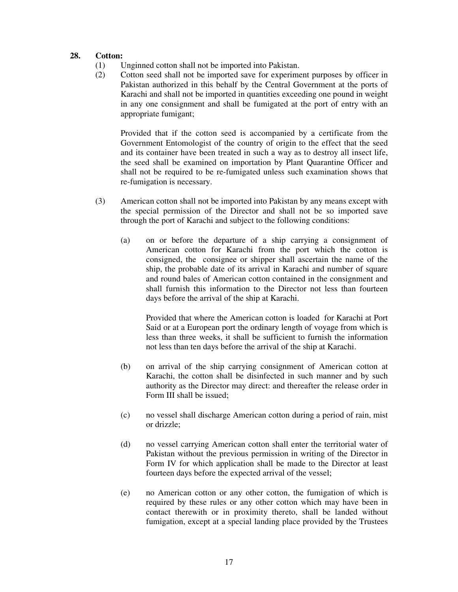#### **28. Cotton:**

- (1) Unginned cotton shall not be imported into Pakistan.
- (2) Cotton seed shall not be imported save for experiment purposes by officer in Pakistan authorized in this behalf by the Central Government at the ports of Karachi and shall not be imported in quantities exceeding one pound in weight in any one consignment and shall be fumigated at the port of entry with an appropriate fumigant;

Provided that if the cotton seed is accompanied by a certificate from the Government Entomologist of the country of origin to the effect that the seed and its container have been treated in such a way as to destroy all insect life, the seed shall be examined on importation by Plant Quarantine Officer and shall not be required to be re-fumigated unless such examination shows that re-fumigation is necessary.

- (3) American cotton shall not be imported into Pakistan by any means except with the special permission of the Director and shall not be so imported save through the port of Karachi and subject to the following conditions:
	- (a) on or before the departure of a ship carrying a consignment of American cotton for Karachi from the port which the cotton is consigned, the consignee or shipper shall ascertain the name of the ship, the probable date of its arrival in Karachi and number of square and round bales of American cotton contained in the consignment and shall furnish this information to the Director not less than fourteen days before the arrival of the ship at Karachi.

Provided that where the American cotton is loaded for Karachi at Port Said or at a European port the ordinary length of voyage from which is less than three weeks, it shall be sufficient to furnish the information not less than ten days before the arrival of the ship at Karachi.

- (b) on arrival of the ship carrying consignment of American cotton at Karachi, the cotton shall be disinfected in such manner and by such authority as the Director may direct: and thereafter the release order in Form III shall be issued;
- (c) no vessel shall discharge American cotton during a period of rain, mist or drizzle;
- (d) no vessel carrying American cotton shall enter the territorial water of Pakistan without the previous permission in writing of the Director in Form IV for which application shall be made to the Director at least fourteen days before the expected arrival of the vessel;
- (e) no American cotton or any other cotton, the fumigation of which is required by these rules or any other cotton which may have been in contact therewith or in proximity thereto, shall be landed without fumigation, except at a special landing place provided by the Trustees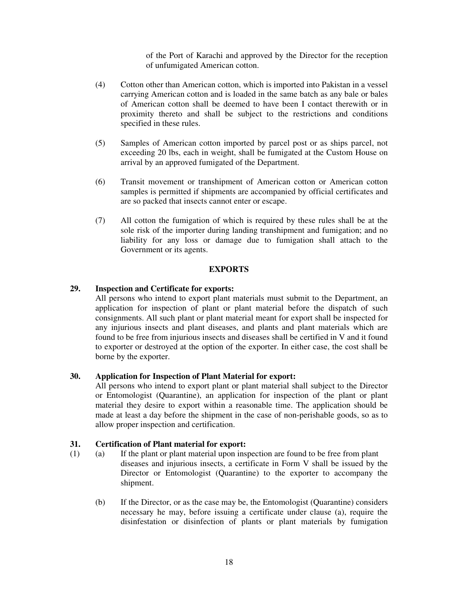of the Port of Karachi and approved by the Director for the reception of unfumigated American cotton.

- (4) Cotton other than American cotton, which is imported into Pakistan in a vessel carrying American cotton and is loaded in the same batch as any bale or bales of American cotton shall be deemed to have been I contact therewith or in proximity thereto and shall be subject to the restrictions and conditions specified in these rules.
- (5) Samples of American cotton imported by parcel post or as ships parcel, not exceeding 20 lbs, each in weight, shall be fumigated at the Custom House on arrival by an approved fumigated of the Department.
- (6) Transit movement or transhipment of American cotton or American cotton samples is permitted if shipments are accompanied by official certificates and are so packed that insects cannot enter or escape.
- (7) All cotton the fumigation of which is required by these rules shall be at the sole risk of the importer during landing transhipment and fumigation; and no liability for any loss or damage due to fumigation shall attach to the Government or its agents.

#### **EXPORTS**

#### **29. Inspection and Certificate for exports:**

All persons who intend to export plant materials must submit to the Department, an application for inspection of plant or plant material before the dispatch of such consignments. All such plant or plant material meant for export shall be inspected for any injurious insects and plant diseases, and plants and plant materials which are found to be free from injurious insects and diseases shall be certified in V and it found to exporter or destroyed at the option of the exporter. In either case, the cost shall be borne by the exporter.

#### **30. Application for Inspection of Plant Material for export:**

All persons who intend to export plant or plant material shall subject to the Director or Entomologist (Quarantine), an application for inspection of the plant or plant material they desire to export within a reasonable time. The application should be made at least a day before the shipment in the case of non-perishable goods, so as to allow proper inspection and certification.

#### **31. Certification of Plant material for export:**

- (1) (a) If the plant or plant material upon inspection are found to be free from plant diseases and injurious insects, a certificate in Form V shall be issued by the Director or Entomologist (Quarantine) to the exporter to accompany the shipment.
	- (b) If the Director, or as the case may be, the Entomologist (Quarantine) considers necessary he may, before issuing a certificate under clause (a), require the disinfestation or disinfection of plants or plant materials by fumigation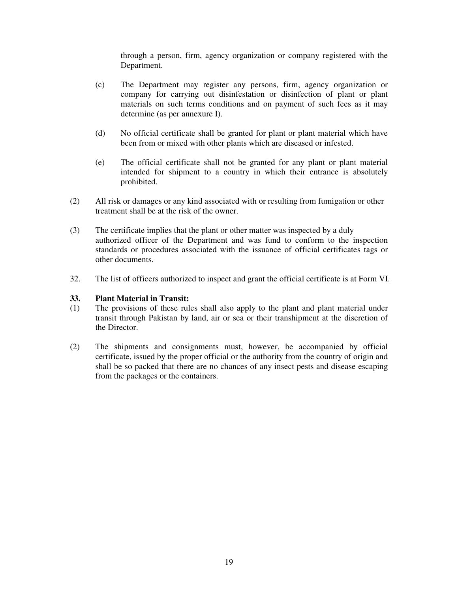through a person, firm, agency organization or company registered with the Department.

- (c) The Department may register any persons, firm, agency organization or company for carrying out disinfestation or disinfection of plant or plant materials on such terms conditions and on payment of such fees as it may determine (as per annexure I).
- (d) No official certificate shall be granted for plant or plant material which have been from or mixed with other plants which are diseased or infested.
- (e) The official certificate shall not be granted for any plant or plant material intended for shipment to a country in which their entrance is absolutely prohibited.
- (2) All risk or damages or any kind associated with or resulting from fumigation or other treatment shall be at the risk of the owner.
- (3) The certificate implies that the plant or other matter was inspected by a duly authorized officer of the Department and was fund to conform to the inspection standards or procedures associated with the issuance of official certificates tags or other documents.
- 32. The list of officers authorized to inspect and grant the official certificate is at Form VI.

# **33. Plant Material in Transit:**

- The provisions of these rules shall also apply to the plant and plant material under transit through Pakistan by land, air or sea or their transhipment at the discretion of the Director.
- (2) The shipments and consignments must, however, be accompanied by official certificate, issued by the proper official or the authority from the country of origin and shall be so packed that there are no chances of any insect pests and disease escaping from the packages or the containers.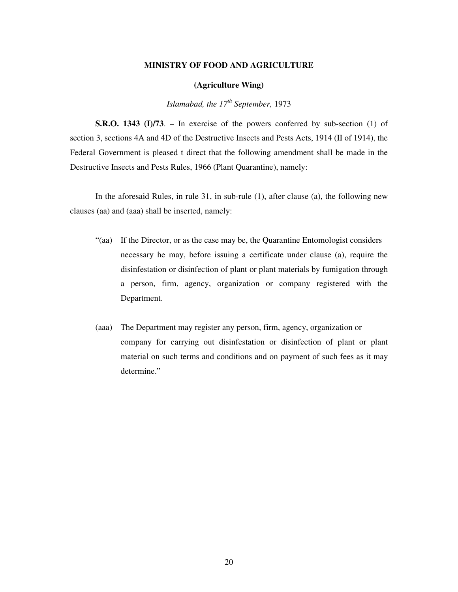#### **MINISTRY OF FOOD AND AGRICULTURE**

#### **(Agriculture Wing)**

*Islamabad, the 17 th September,* 1973

**S.R.O. 1343 (I)/73**. – In exercise of the powers conferred by sub-section (1) of section 3, sections 4A and 4D of the Destructive Insects and Pests Acts, 1914 (II of 1914), the Federal Government is pleased t direct that the following amendment shall be made in the Destructive Insects and Pests Rules, 1966 (Plant Quarantine), namely:

In the aforesaid Rules, in rule 31, in sub-rule (1), after clause (a), the following new clauses (aa) and (aaa) shall be inserted, namely:

- "(aa) If the Director, or as the case may be, the Quarantine Entomologist considers necessary he may, before issuing a certificate under clause (a), require the disinfestation or disinfection of plant or plant materials by fumigation through a person, firm, agency, organization or company registered with the Department.
- (aaa) The Department may register any person, firm, agency, organization or company for carrying out disinfestation or disinfection of plant or plant material on such terms and conditions and on payment of such fees as it may determine."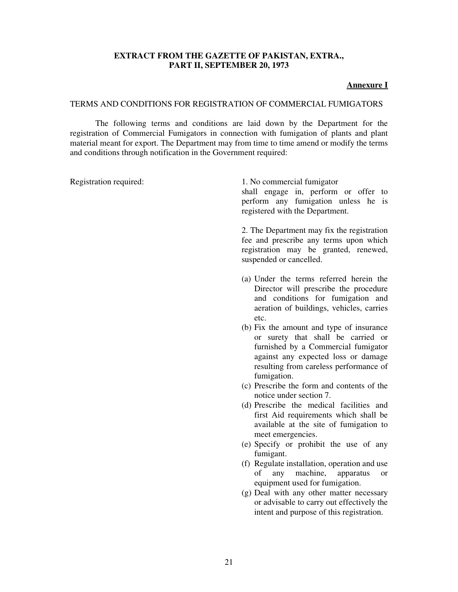#### **EXTRACT FROM THE GAZETTE OF PAKISTAN, EXTRA., PART II, SEPTEMBER 20, 1973**

#### **Annexure I**

#### TERMS AND CONDITIONS FOR REGISTRATION OF COMMERCIAL FUMIGATORS

The following terms and conditions are laid down by the Department for the registration of Commercial Fumigators in connection with fumigation of plants and plant material meant for export. The Department may from time to time amend or modify the terms and conditions through notification in the Government required:

Registration required: 1. No commercial fumigator shall engage in, perform or offer to perform any fumigation unless he is registered with the Department.

> 2. The Department may fix the registration fee and prescribe any terms upon which registration may be granted, renewed, suspended or cancelled.

- (a) Under the terms referred herein the Director will prescribe the procedure and conditions for fumigation and aeration of buildings, vehicles, carries etc.
- (b) Fix the amount and type of insurance or surety that shall be carried or furnished by a Commercial fumigator against any expected loss or damage resulting from careless performance of fumigation.
- (c) Prescribe the form and contents of the notice under section 7.
- (d) Prescribe the medical facilities and first Aid requirements which shall be available at the site of fumigation to meet emergencies.
- (e) Specify or prohibit the use of any fumigant.
- (f) Regulate installation, operation and use of any machine, apparatus or equipment used for fumigation.
- (g) Deal with any other matter necessary or advisable to carry out effectively the intent and purpose of this registration.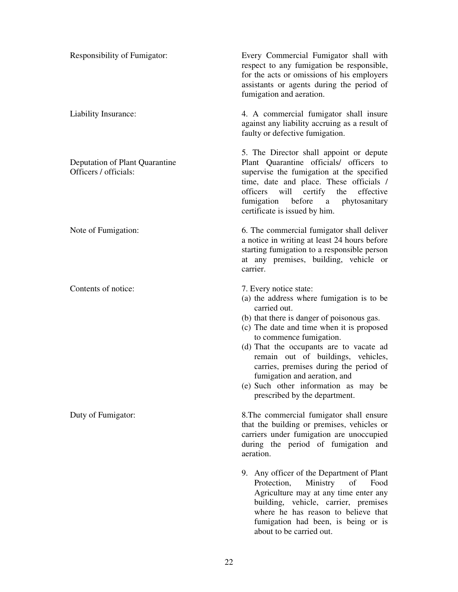Responsibility of Fumigator:

Liability Insurance:

Deputation of Plant Quarantine Officers / officials:

Note of Fumigation:

Contents of notice:

Duty of Fumigator:

Every Commercial Fumigator shall with respect to any fumigation be responsible, for the acts or omissions of his employers assistants or agents during the period of fumigation and aeration.

4. A commercial fumigator shall insure against any liability accruing as a result of faulty or defective fumigation.

5. The Director shall appoint or depute Plant Quarantine officials/ officers to supervise the fumigation at the specified time, date and place. These officials / officers will certify the effective fumigation before a phytosanitary certificate is issued by him.

6. The commercial fumigator shall deliver a notice in writing at least 24 hours before starting fumigation to a responsible person at any premises, building, vehicle or carrier.

7. Every notice state:

- (a) the address where fumigation is to be carried out.
- (b) that there is danger of poisonous gas.
- (c) The date and time when it is proposed to commence fumigation.
- (d) That the occupants are to vacate ad remain out of buildings, vehicles, carries, premises during the period of fumigation and aeration, and
- (e) Such other information as may be prescribed by the department.

8.The commercial fumigator shall ensure that the building or premises, vehicles or carriers under fumigation are unoccupied during the period of fumigation and aeration.

9. Any officer of the Department of Plant Protection, Ministry of Food Agriculture may at any time enter any building, vehicle, carrier, premises where he has reason to believe that fumigation had been, is being or is about to be carried out.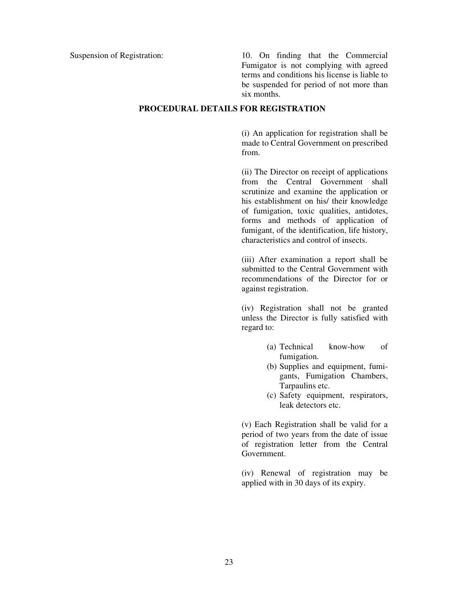Suspension of Registration: 10. On finding that the Commercial Fumigator is not complying with agreed terms and conditions his license is liable to be suspended for period of not more than six months.

#### **PROCEDURAL DETAILS FOR REGISTRATION**

(i) An application for registration shall be made to Central Government on prescribed from.

(ii) The Director on receipt of applications from the Central Government shall scrutinize and examine the application or his establishment on his/ their knowledge of fumigation, toxic qualities, antidotes, forms and methods of application of fumigant, of the identification, life history, characteristics and control of insects.

(iii) After examination a report shall be submitted to the Central Government with recommendations of the Director for or against registration.

(iv) Registration shall not be granted unless the Director is fully satisfied with regard to:

- (a) Technical know-how of fumigation.
- (b) Supplies and equipment, fumigants, Fumigation Chambers, Tarpaulins etc.
- (c) Safety equipment, respirators, leak detectors etc.

(v) Each Registration shall be valid for a period of two years from the date of issue of registration letter from the Central Government.

(iv) Renewal of registration may be applied with in 30 days of its expiry.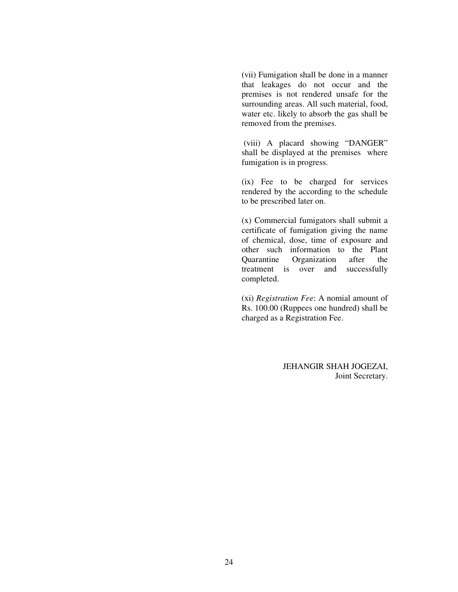(vii) Fumigation shall be done in a manner that leakages do not occur and the premises is not rendered unsafe for the surrounding areas. All such material, food, water etc. likely to absorb the gas shall be removed from the premises.

(viii) A placard showing "DANGER" shall be displayed at the premises where fumigation is in progress.

(ix) Fee to be charged for services rendered by the according to the schedule to be prescribed later on.

(x) Commercial fumigators shall submit a certificate of fumigation giving the name of chemical, dose, time of exposure and other such information to the Plant Quarantine Organization after the treatment is over and successfully completed.

(xi) *Registration Fee*: A nomial amount of Rs. 100.00 (Ruppees one hundred) shall be charged as a Registration Fee.

> JEHANGIR SHAH JOGEZAI, Joint Secretary.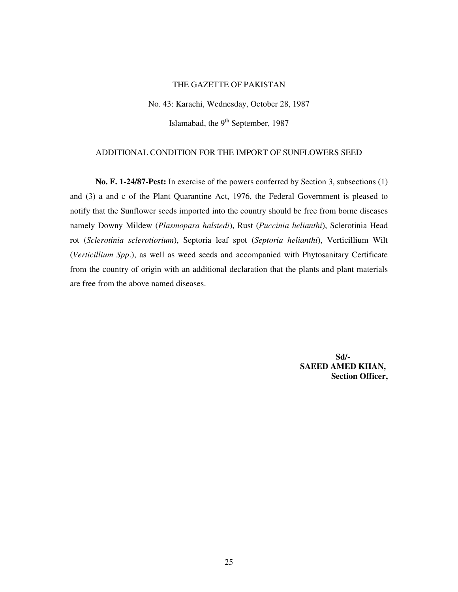#### THE GAZETTE OF PAKISTAN

No. 43: Karachi, Wednesday, October 28, 1987

Islamabad, the 9<sup>th</sup> September, 1987

#### ADDITIONAL CONDITION FOR THE IMPORT OF SUNFLOWERS SEED

**No. F. 1-24/87-Pest:** In exercise of the powers conferred by Section 3, subsections (1) and (3) a and c of the Plant Quarantine Act, 1976, the Federal Government is pleased to notify that the Sunflower seeds imported into the country should be free from borne diseases namely Downy Mildew (*Plasmopara halstedi*), Rust (*Puccinia helianthi*), Sclerotinia Head rot (*Sclerotinia sclerotiorium*), Septoria leaf spot (*Septoria helianthi*), Verticillium Wilt (*Verticillium Spp*.), as well as weed seeds and accompanied with Phytosanitary Certificate from the country of origin with an additional declaration that the plants and plant materials are free from the above named diseases.

> **Sd/- SAEED AMED KHAN, Section Officer,**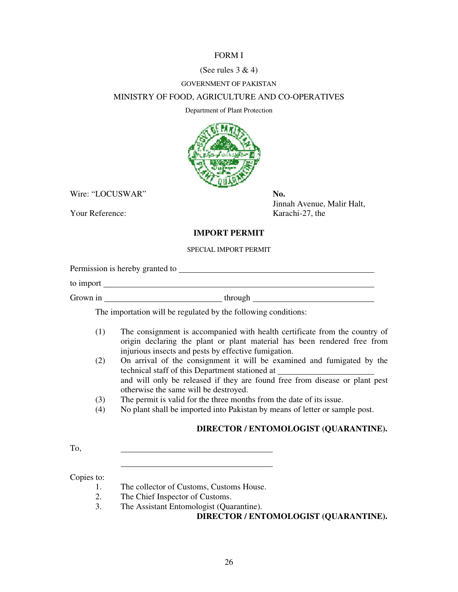#### FORM I

#### (See rules  $3 & 4$ )

#### GOVERNMENT OF PAKISTAN

#### MINISTRY OF FOOD, AGRICULTURE AND CO-OPERATIVES

Department of Plant Protection



Wire: "LOCUSWAR" **No.** 

Your Reference: Karachi-27, the

Jinnah Avenue, Malir Halt,

#### **IMPORT PERMIT**

#### SPECIAL IMPORT PERMIT

Permission is hereby granted to

to import

Grown in through through through through the state of  $\mathcal{L}$ 

The importation will be regulated by the following conditions:

- (1) The consignment is accompanied with health certificate from the country of origin declaring the plant or plant material has been rendered free from injurious insects and pests by effective fumigation.
- (2) On arrival of the consignment it will be examined and fumigated by the technical staff of this Department stationed at and will only be released if they are found free from disease or plant pest otherwise the same will be destroyed.
- (3) The permit is valid for the three months from the date of its issue.
- (4) No plant shall be imported into Pakistan by means of letter or sample post.

### **DIRECTOR / ENTOMOLOGIST (QUARANTINE).**

To,

Copies to:

- 1. The collector of Customs, Customs House.
- 2. The Chief Inspector of Customs.
- 3. The Assistant Entomologist (Quarantine).

**DIRECTOR / ENTOMOLOGIST (QUARANTINE).**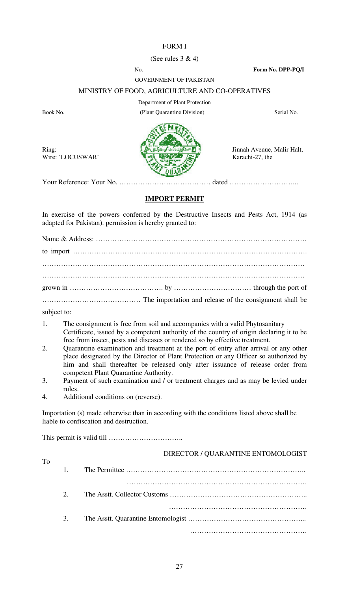### FORM I

#### (See rules 3 & 4)

No. **Form No. DPP-PQ/I**

#### GOVERNMENT OF PAKISTAN

#### MINISTRY OF FOOD, AGRICULTURE AND CO-OPERATIVES

Ring:

Department of Plant Protection Book No. Serial No. (Plant Quarantine Division) Serial No.



Jinnah Avenue, Malir Halt, Karachi-27, the

Wire: 'LOCUSWAR'

**IMPORT PERMIT**

In exercise of the powers conferred by the Destructive Insects and Pests Act, 1914 (as adapted for Pakistan). permission is hereby granted to:

subject to:

To

- 1. The consignment is free from soil and accompanies with a valid Phytosanitary Certificate, issued by a competent authority of the country of origin declaring it to be free from insect, pests and diseases or rendered so by effective treatment.
- 2. Quarantine examination and treatment at the port of entry after arrival or any other place designated by the Director of Plant Protection or any Officer so authorized by him and shall thereafter be released only after issuance of release order from competent Plant Quarantine Authority.
- 3. Payment of such examination and / or treatment charges and as may be levied under rules.
- 4. Additional conditions on (reverse).

Importation (s) made otherwise than in according with the conditions listed above shall be liable to confiscation and destruction.

This permit is valid till …………………………..

|    | DIRECTOR: QUIRERTHINE ENTOINOEOOIDT |
|----|-------------------------------------|
|    |                                     |
|    |                                     |
| 2. |                                     |
|    |                                     |
|    |                                     |
| 3. |                                     |
|    |                                     |
|    |                                     |

DIRECTOR / OUAR ANTINE ENTOMOLOGIST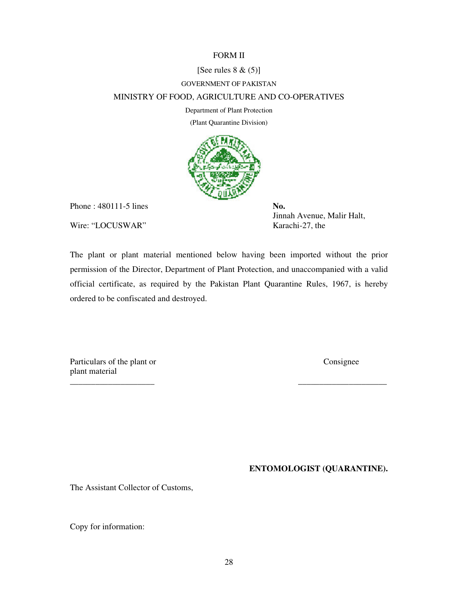#### FORM II

#### [See rules  $8 \& (5)$ ]

#### GOVERNMENT OF PAKISTAN

#### MINISTRY OF FOOD, AGRICULTURE AND CO-OPERATIVES

Department of Plant Protection

(Plant Quarantine Division)



Phone : 480111-5 lines **No.** 

Wire: "LOCUSWAR" Karachi-27, the

Jinnah Avenue, Malir Halt,

The plant or plant material mentioned below having been imported without the prior permission of the Director, Department of Plant Protection, and unaccompanied with a valid official certificate, as required by the Pakistan Plant Quarantine Rules, 1967, is hereby ordered to be confiscated and destroyed.

\_\_\_\_\_\_\_\_\_\_\_\_\_\_\_\_\_\_\_\_ \_\_\_\_\_\_\_\_\_\_\_\_\_\_\_\_\_\_\_\_\_

Particulars of the plant or Consignee plant material

**ENTOMOLOGIST (QUARANTINE).**

The Assistant Collector of Customs,

Copy for information: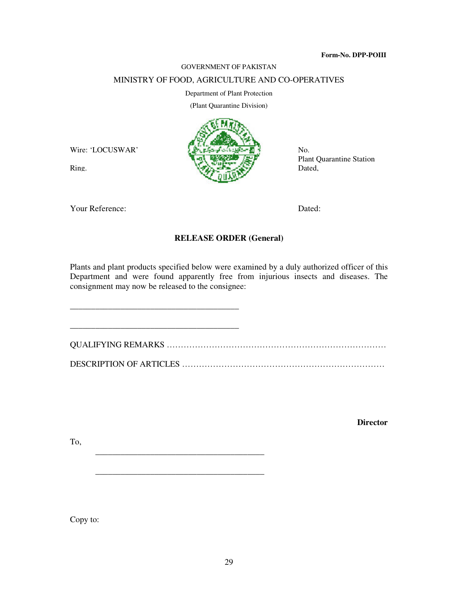#### **Form-No. DPP-POIII**

#### GOVERNMENT OF PAKISTAN

#### MINISTRY OF FOOD, AGRICULTURE AND CO-OPERATIVES

#### Department of Plant Protection

(Plant Quarantine Division)



No. Plant Quarantine Station Dated,

Your Reference: Dated:

Ring.

Wire: 'LOCUSWAR'

\_\_\_\_\_\_\_\_\_\_\_\_\_\_\_\_\_\_\_\_\_\_\_\_\_\_\_\_\_\_\_\_\_\_\_\_\_\_\_\_

\_\_\_\_\_\_\_\_\_\_\_\_\_\_\_\_\_\_\_\_\_\_\_\_\_\_\_\_\_\_\_\_\_\_\_\_\_\_\_\_

\_\_\_\_\_\_\_\_\_\_\_\_\_\_\_\_\_\_\_\_\_\_\_\_\_\_\_\_\_\_\_\_\_\_\_\_\_\_\_\_

#### **RELEASE ORDER (General)**

Plants and plant products specified below were examined by a duly authorized officer of this Department and were found apparently free from injurious insects and diseases. The consignment may now be released to the consignee:

\_\_\_\_\_\_\_\_\_\_\_\_\_\_\_\_\_\_\_\_\_\_\_\_\_\_\_\_\_\_\_\_\_\_\_\_\_\_\_\_ QUALIFYING REMARKS …………………………………………………………………… DESCRIPTION OF ARTICLES ………………………………………………………………

**Director**

To,

Copy to: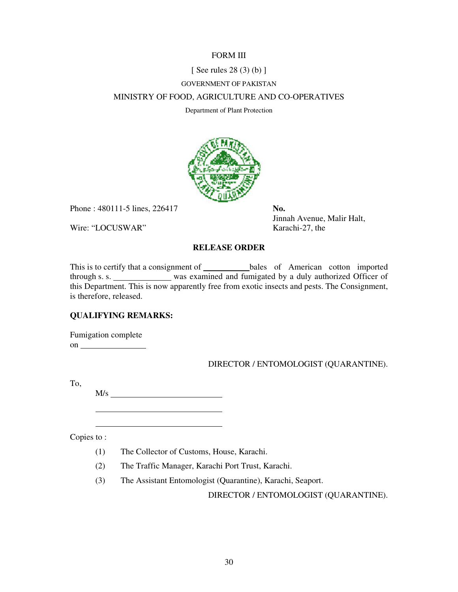#### FORM III

#### [ See rules 28 (3) (b) ]

#### GOVERNMENT OF PAKISTAN

#### MINISTRY OF FOOD, AGRICULTURE AND CO-OPERATIVES

Department of Plant Protection



Phone : 480111-5 lines, 226417 **No.** 

Wire: "LOCUSWAR" Karachi-27, the

Jinnah Avenue, Malir Halt,

#### **RELEASE ORDER**

This is to certify that a consignment of \_\_\_\_\_\_\_\_\_\_\_\_\_bales of American cotton imported through s. s. was examined and fumigated by a duly authorized Officer of this Department. This is now apparently free from exotic insects and pests. The Consignment, is therefore, released.

#### **QUALIFYING REMARKS:**

Fumigation complete on

#### DIRECTOR / ENTOMOLOGIST (QUARANTINE).

To,

M/s

Copies to :

- (1) The Collector of Customs, House, Karachi.
- (2) The Traffic Manager, Karachi Port Trust, Karachi.
- (3) The Assistant Entomologist (Quarantine), Karachi, Seaport.

DIRECTOR / ENTOMOLOGIST (QUARANTINE).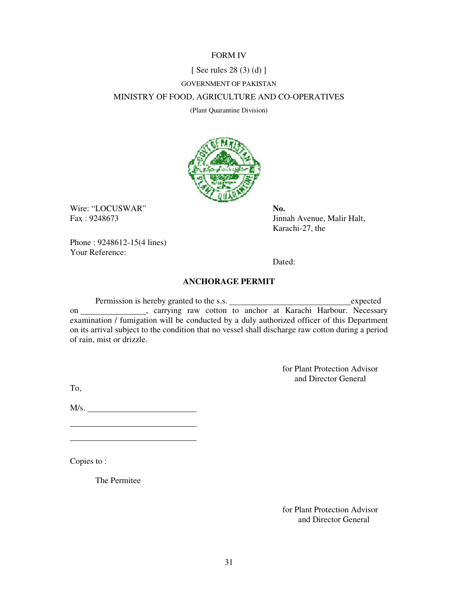#### FORM IV

#### [ See rules 28 (3) (d) ]

#### GOVERNMENT OF PAKISTAN

#### MINISTRY OF FOOD, AGRICULTURE AND CO-OPERATIVES

(Plant Quarantine Division)



Wire: "LOCUSWAR" **No.** 

Fax : 9248673 Jinnah Avenue, Malir Halt, Karachi-27, the

Phone : 9248612-15(4 lines) Your Reference:

Dated:

#### **ANCHORAGE PERMIT**

Permission is hereby granted to the s.s. expected expected on \_\_\_\_\_\_\_\_\_\_\_\_\_, carrying raw cotton to anchor at Karachi Harbour. Necessary examination / fumigation will be conducted by a duly authorized officer of this Department on its arrival subject to the condition that no vessel shall discharge raw cotton during a period of rain, mist or drizzle.

> for Plant Protection Advisor and Director General

To,

 $M/s.$ 

Copies to :

The Permitee

for Plant Protection Advisor and Director General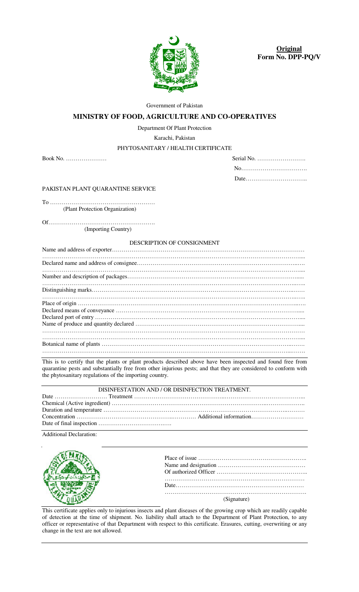

**Original Form No. DPP-PQ/V**

Government of Pakistan

#### **MINISTRY OF FOOD, AGRICULTURE AND CO-OPERATIVES**

Department Of Plant Protection

Karachi, Pakistan

#### PHYTOSANITARY / HEALTH CERTIFICATE

Book No. …………………

| Serial No. $\dots \dots \dots \dots \dots \dots \dots$ |
|--------------------------------------------------------|
|                                                        |
|                                                        |

PAKISTAN PLANT QUARANTINE SERVICE

To ……………………………………………… (Plant Protection Organization)

Of………………………………………………. (Importing Country)

#### DESCRIPTION OF CONSIGNMENT

This is to certify that the plants or plant products described above have been inspected and found free from quarantine pests and substantially free from other injurious pests; and that they are considered to conform with the phytosanitary regulations of the importing country.

|  | DISINFESTATION AND / OR DISINFECTION TREATMENT. |
|--|-------------------------------------------------|
|  |                                                 |
|  |                                                 |
|  |                                                 |
|  |                                                 |
|  |                                                 |
|  |                                                 |

Additional Declaration:



This certificate applies only to injurious insects and plant diseases of the growing crop which are readily capable of detection at the time of shipment. No. liability shall attach to the Department of Plant Protection, to any officer or representative of that Department with respect to this certificate. Erasures, cutting, overwriting or any change in the text are not allowed.